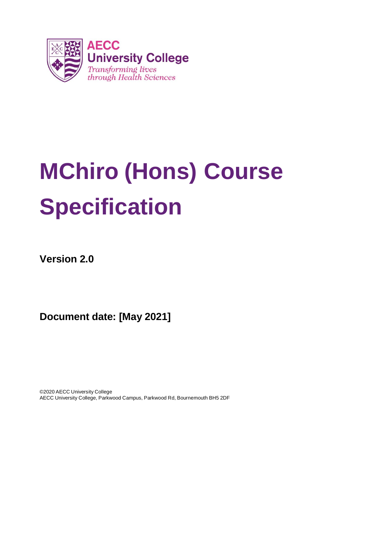

# **MChiro (Hons) Course Specification**

**Version 2.0**

**Document date: [May 2021]**

©2020 AECC University College AECC University College, Parkwood Campus, Parkwood Rd, Bournemouth BH5 2DF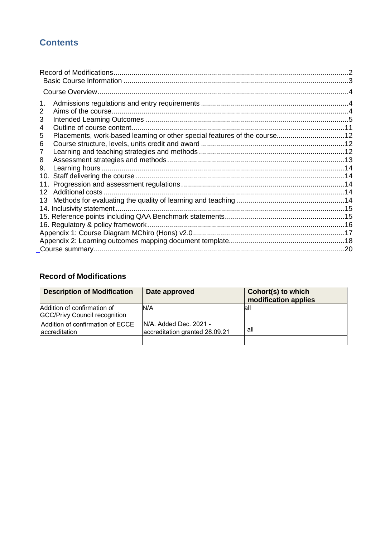# **Contents**

| 1.                                                                             |  |
|--------------------------------------------------------------------------------|--|
| 2                                                                              |  |
| 3                                                                              |  |
| 4                                                                              |  |
| Placements, work-based learning or other special features of the course12<br>5 |  |
| 6                                                                              |  |
| 7                                                                              |  |
| 8                                                                              |  |
| 9.                                                                             |  |
|                                                                                |  |
|                                                                                |  |
| 12                                                                             |  |
| 13                                                                             |  |
| 14. Inclusivity statement.                                                     |  |
|                                                                                |  |
|                                                                                |  |
|                                                                                |  |
|                                                                                |  |
|                                                                                |  |
|                                                                                |  |

# <span id="page-1-0"></span>**Record of Modifications**

| <b>Description of Modification</b>                                  | Date approved                                             | Cohort(s) to which<br>modification applies |
|---------------------------------------------------------------------|-----------------------------------------------------------|--------------------------------------------|
| Addition of confirmation of<br><b>GCC/Privy Council recognition</b> | N/A                                                       | lall                                       |
| Addition of confirmation of ECCE<br>accreditation                   | IN/A. Added Dec. 2021 -<br>accreditation granted 28.09.21 | all                                        |
|                                                                     |                                                           |                                            |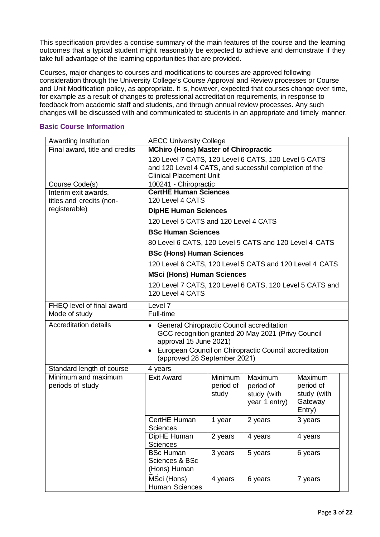This specification provides a concise summary of the main features of the course and the learning outcomes that a typical student might reasonably be expected to achieve and demonstrate if they take full advantage of the learning opportunities that are provided.

Courses, major changes to courses and modifications to courses are approved following consideration through the University College's Course Approval and Review processes or Course and Unit Modification policy, as appropriate. It is, however, expected that courses change over time, for example as a result of changes to professional accreditation requirements, in response to feedback from academic staff and students, and through annual review processes. Any such changes will be discussed with and communicated to students in an appropriate and timely manner.

#### <span id="page-2-0"></span>**Basic Course Information**

| Awarding Institution                                           | <b>AECC University College</b>                                                                                                                                                                                         |                               |                                                      |                                                          |  |  |  |  |  |  |  |
|----------------------------------------------------------------|------------------------------------------------------------------------------------------------------------------------------------------------------------------------------------------------------------------------|-------------------------------|------------------------------------------------------|----------------------------------------------------------|--|--|--|--|--|--|--|
| Final award, title and credits                                 | <b>MChiro (Hons) Master of Chiropractic</b>                                                                                                                                                                            |                               |                                                      |                                                          |  |  |  |  |  |  |  |
|                                                                | 120 Level 7 CATS, 120 Level 6 CATS, 120 Level 5 CATS<br>and 120 Level 4 CATS, and successful completion of the<br><b>Clinical Placement Unit</b>                                                                       |                               |                                                      |                                                          |  |  |  |  |  |  |  |
| Course Code(s)                                                 | 100241 - Chiropractic                                                                                                                                                                                                  |                               |                                                      |                                                          |  |  |  |  |  |  |  |
| Interim exit awards,<br>titles and credits (non-               | <b>CertHE Human Sciences</b><br>120 Level 4 CATS                                                                                                                                                                       |                               |                                                      |                                                          |  |  |  |  |  |  |  |
| registerable)                                                  | <b>DipHE Human Sciences</b>                                                                                                                                                                                            |                               |                                                      |                                                          |  |  |  |  |  |  |  |
|                                                                | 120 Level 5 CATS and 120 Level 4 CATS                                                                                                                                                                                  |                               |                                                      |                                                          |  |  |  |  |  |  |  |
|                                                                | <b>BSc Human Sciences</b>                                                                                                                                                                                              |                               |                                                      |                                                          |  |  |  |  |  |  |  |
|                                                                | 80 Level 6 CATS, 120 Level 5 CATS and 120 Level 4 CATS                                                                                                                                                                 |                               |                                                      |                                                          |  |  |  |  |  |  |  |
|                                                                | <b>BSc (Hons) Human Sciences</b>                                                                                                                                                                                       |                               |                                                      |                                                          |  |  |  |  |  |  |  |
|                                                                | 120 Level 6 CATS, 120 Level 5 CATS and 120 Level 4 CATS                                                                                                                                                                |                               |                                                      |                                                          |  |  |  |  |  |  |  |
|                                                                | <b>MSci (Hons) Human Sciences</b>                                                                                                                                                                                      |                               |                                                      |                                                          |  |  |  |  |  |  |  |
|                                                                | 120 Level 7 CATS, 120 Level 6 CATS, 120 Level 5 CATS and<br>120 Level 4 CATS                                                                                                                                           |                               |                                                      |                                                          |  |  |  |  |  |  |  |
| FHEQ level of final award                                      | Level 7                                                                                                                                                                                                                |                               |                                                      |                                                          |  |  |  |  |  |  |  |
| Mode of study                                                  | Full-time                                                                                                                                                                                                              |                               |                                                      |                                                          |  |  |  |  |  |  |  |
| <b>Accreditation details</b>                                   | General Chiropractic Council accreditation<br>GCC recognition granted 20 May 2021 (Privy Council<br>approval 15 June 2021)<br>• European Council on Chiropractic Council accreditation<br>(approved 28 September 2021) |                               |                                                      |                                                          |  |  |  |  |  |  |  |
| Standard length of course                                      | 4 years                                                                                                                                                                                                                |                               |                                                      |                                                          |  |  |  |  |  |  |  |
| Minimum and maximum<br>periods of study                        | <b>Exit Award</b>                                                                                                                                                                                                      | Minimum<br>period of<br>study | Maximum<br>period of<br>study (with<br>year 1 entry) | Maximum<br>period of<br>study (with<br>Gateway<br>Entry) |  |  |  |  |  |  |  |
|                                                                | CertHE Human<br>Sciences                                                                                                                                                                                               | 1 year                        | 2 years                                              | 3 years                                                  |  |  |  |  |  |  |  |
|                                                                | DipHE Human<br><b>Sciences</b>                                                                                                                                                                                         | 2 years                       | 4 years                                              | 4 years                                                  |  |  |  |  |  |  |  |
|                                                                | <b>BSc Human</b><br>Sciences & BSc<br>(Hons) Human                                                                                                                                                                     | 3 years                       | 5 years                                              | 6 years                                                  |  |  |  |  |  |  |  |
| MSci (Hons)<br>7 years<br>4 years<br>6 years<br>Human Sciences |                                                                                                                                                                                                                        |                               |                                                      |                                                          |  |  |  |  |  |  |  |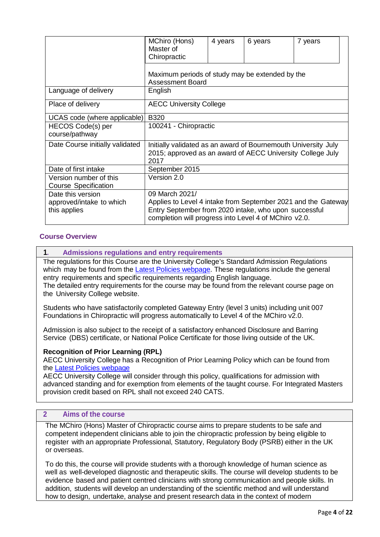|                                               | MChiro (Hons)<br>Master of<br>Chiropractic                                                                                           | 4 years | 6 years | 7 years |
|-----------------------------------------------|--------------------------------------------------------------------------------------------------------------------------------------|---------|---------|---------|
|                                               | Maximum periods of study may be extended by the<br><b>Assessment Board</b>                                                           |         |         |         |
| Language of delivery                          | English                                                                                                                              |         |         |         |
| Place of delivery                             | <b>AECC University College</b>                                                                                                       |         |         |         |
| UCAS code (where applicable)                  | <b>B320</b>                                                                                                                          |         |         |         |
| HECOS Code(s) per                             | 100241 - Chiropractic                                                                                                                |         |         |         |
| course/pathway                                |                                                                                                                                      |         |         |         |
| Date Course initially validated               | Initially validated as an award of Bournemouth University July<br>2015; approved as an award of AECC University College July<br>2017 |         |         |         |
| Date of first intake                          | September 2015                                                                                                                       |         |         |         |
| Version number of this                        | Version 2.0                                                                                                                          |         |         |         |
| <b>Course Specification</b>                   |                                                                                                                                      |         |         |         |
| Date this version<br>approved/intake to which | 09 March 2021/<br>Applies to Level 4 intake from September 2021 and the Gateway                                                      |         |         |         |
| this applies                                  | Entry September from 2020 intake, who upon successful<br>completion will progress into Level 4 of MChiro v2.0.                       |         |         |         |

## <span id="page-3-0"></span>**Course Overview**

#### <span id="page-3-1"></span>**1. Admissions regulations and entry requirements**

The regulations for this Course are the University College's Standard Admission Regulations which may be found from the Latest Policies webpage. These regulations include the general entry requirements and specific requirements regarding English language. The detailed entry requirements for the course may be found from the relevant course page on the University College website.

Students who have satisfactorily completed Gateway Entry (level 3 units) including unit 007 Foundations in Chiropractic will progress automatically to Level 4 of the MChiro v2.0.

Admission is also subject to the receipt of a satisfactory enhanced Disclosure and Barring Service (DBS) certificate, or National Police Certificate for those living outside of the UK.

#### **Recognition of Prior Learning (RPL)**

AECC University College has a Recognition of Prior Learning Policy which can be found from the Latest Policies webpage

AECC University College will consider through this policy, qualifications for admission with advanced standing and for exemption from elements of the taught course. For Integrated Masters provision credit based on RPL shall not exceed 240 CATS.

## <span id="page-3-2"></span>**2 Aims of the course**

The MChiro (Hons) Master of Chiropractic course aims to prepare students to be safe and competent independent clinicians able to join the chiropractic profession by being eligible to register with an appropriate Professional, Statutory, Regulatory Body (PSRB) either in the UK or overseas.

To do this, the course will provide students with a thorough knowledge of human science as well as well-developed diagnostic and therapeutic skills. The course will develop students to be evidence based and patient centred clinicians with strong communication and people skills. In addition, students will develop an understanding of the scientific method and will understand how to design, undertake, analyse and present research data in the context of modern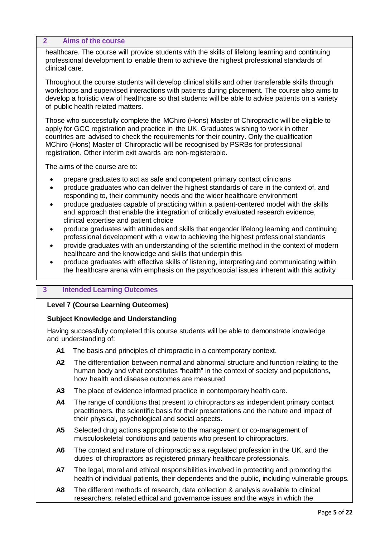#### **2 Aims of the course**

healthcare. The course will provide students with the skills of lifelong learning and continuing professional development to enable them to achieve the highest professional standards of clinical care.

Throughout the course students will develop clinical skills and other transferable skills through workshops and supervised interactions with patients during placement. The course also aims to develop a holistic view of healthcare so that students will be able to advise patients on a variety of public health related matters.

Those who successfully complete the MChiro (Hons) Master of Chiropractic will be eligible to apply for GCC registration and practice in the UK. Graduates wishing to work in other countries are advised to check the requirements for their country. Only the qualification MChiro (Hons) Master of Chiropractic will be recognised by PSRBs for professional registration. Other interim exit awards are non-registerable.

The aims of the course are to:

- prepare graduates to act as safe and competent primary contact clinicians
- produce graduates who can deliver the highest standards of care in the context of, and responding to, their community needs and the wider healthcare environment
- produce graduates capable of practicing within a patient-centered model with the skills and approach that enable the integration of critically evaluated research evidence, clinical expertise and patient choice
- produce graduates with attitudes and skills that engender lifelong learning and continuing professional development with a view to achieving the highest professional standards
- provide graduates with an understanding of the scientific method in the context of modern healthcare and the knowledge and skills that underpin this
- produce graduates with effective skills of listening, interpreting and communicating within the healthcare arena with emphasis on the psychosocial issues inherent with this activity

## <span id="page-4-0"></span>**3 Intended Learning Outcomes**

#### **Level 7 (Course Learning Outcomes)**

#### **Subject Knowledge and Understanding**

Having successfully completed this course students will be able to demonstrate knowledge and understanding of:

- **A1** The basis and principles of chiropractic in a contemporary context.
- **A2** The differentiation between normal and abnormal structure and function relating to the human body and what constitutes "health" in the context of society and populations, how health and disease outcomes are measured
- **A3** The place of evidence informed practice in contemporary health care.
- **A4** The range of conditions that present to chiropractors as independent primary contact practitioners, the scientific basis for their presentations and the nature and impact of their physical, psychological and social aspects.
- **A5** Selected drug actions appropriate to the management or co-management of musculoskeletal conditions and patients who present to chiropractors.
- **A6** The context and nature of chiropractic as a regulated profession in the UK, and the duties of chiropractors as registered primary healthcare professionals.
- **A7** The legal, moral and ethical responsibilities involved in protecting and promoting the health of individual patients, their dependents and the public, including vulnerable groups.
- **A8** The different methods of research, data collection & analysis available to clinical researchers, related ethical and governance issues and the ways in which the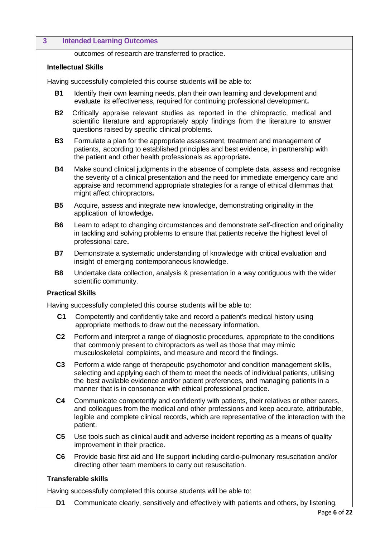#### **3 Intended Learning Outcomes**

outcomes of research are transferred to practice.

#### **Intellectual Skills**

Having successfully completed this course students will be able to:

- **B1** Identify their own learning needs, plan their own learning and development and evaluate its effectiveness, required for continuing professional development**.**
- **B2** Critically appraise relevant studies as reported in the chiropractic, medical and scientific literature and appropriately apply findings from the literature to answer questions raised by specific clinical problems.
- **B3** Formulate a plan for the appropriate assessment, treatment and management of patients, according to established principles and best evidence, in partnership with the patient and other health professionals as appropriate**.**
- **B4** Make sound clinical judgments in the absence of complete data, assess and recognise the severity of a clinical presentation and the need for immediate emergency care and appraise and recommend appropriate strategies for a range of ethical dilemmas that might affect chiropractors**.**
- **B5** Acquire, assess and integrate new knowledge, demonstrating originality in the application of knowledge**.**
- **B6** Learn to adapt to changing circumstances and demonstrate self-direction and originality in tackling and solving problems to ensure that patients receive the highest level of professional care**.**
- **B7** Demonstrate a systematic understanding of knowledge with critical evaluation and insight of emerging contemporaneous knowledge.
- **B8** Undertake data collection, analysis & presentation in a way contiguous with the wider scientific community.

#### **Practical Skills**

Having successfully completed this course students will be able to:

- **C1** Competently and confidently take and record a patient's medical history using appropriate methods to draw out the necessary information.
- **C2** Perform and interpret a range of diagnostic procedures, appropriate to the conditions that commonly present to chiropractors as well as those that may mimic musculoskeletal complaints, and measure and record the findings.
- **C3** Perform a wide range of therapeutic psychomotor and condition management skills, selecting and applying each of them to meet the needs of individual patients, utilising the best available evidence and/or patient preferences, and managing patients in a manner that is in consonance with ethical professional practice.
- **C4** Communicate competently and confidently with patients, their relatives or other carers, and colleagues from the medical and other professions and keep accurate, attributable, legible and complete clinical records, which are representative of the interaction with the patient.
- **C5** Use tools such as clinical audit and adverse incident reporting as a means of quality improvement in their practice.
- **C6** Provide basic first aid and life support including cardio-pulmonary resuscitation and/or directing other team members to carry out resuscitation.

## **Transferable skills**

Having successfully completed this course students will be able to:

**D1** Communicate clearly, sensitively and effectively with patients and others, by listening,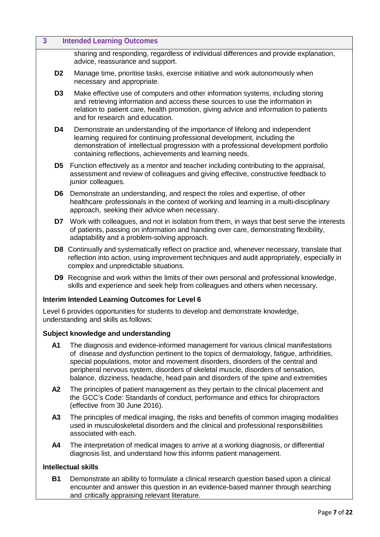| $\overline{3}$ | <b>Intended Learning Outcomes</b>                                                                                                                                                                                                                                                                                                                      |
|----------------|--------------------------------------------------------------------------------------------------------------------------------------------------------------------------------------------------------------------------------------------------------------------------------------------------------------------------------------------------------|
|                | sharing and responding, regardless of individual differences and provide explanation,<br>advice, reassurance and support.                                                                                                                                                                                                                              |
| D <sub>2</sub> | Manage time, prioritise tasks, exercise initiative and work autonomously when<br>necessary and appropriate.                                                                                                                                                                                                                                            |
| D <sub>3</sub> | Make effective use of computers and other information systems, including storing<br>and retrieving information and access these sources to use the information in<br>relation to patient care, health promotion, giving advice and information to patients<br>and for research and education.                                                          |
| D4             | Demonstrate an understanding of the importance of lifelong and independent<br>learning required for continuing professional development, including the<br>demonstration of intellectual progression with a professional development portfolio<br>containing reflections, achievements and learning needs.                                              |
| D5             | Function effectively as a mentor and teacher including contributing to the appraisal,<br>assessment and review of colleagues and giving effective, constructive feedback to<br>junior colleagues.                                                                                                                                                      |
| D6             | Demonstrate an understanding, and respect the roles and expertise, of other<br>healthcare professionals in the context of working and learning in a multi-disciplinary<br>approach, seeking their advice when necessary.                                                                                                                               |
| D7             | Work with colleagues, and not in isolation from them, in ways that best serve the interests<br>of patients, passing on information and handing over care, demonstrating flexibility,<br>adaptability and a problem-solving approach.                                                                                                                   |
|                | D8 Continually and systematically reflect on practice and, whenever necessary, translate that<br>reflection into action, using improvement techniques and audit appropriately, especially in<br>complex and unpredictable situations.                                                                                                                  |
|                | <b>D9</b> Recognise and work within the limits of their own personal and professional knowledge,<br>skills and experience and seek help from colleagues and others when necessary.                                                                                                                                                                     |
|                | Interim Intended Learning Outcomes for Level 6                                                                                                                                                                                                                                                                                                         |
|                | Level 6 provides opportunities for students to develop and demonstrate knowledge,<br>understanding and skills as follows:                                                                                                                                                                                                                              |
|                | Subject knowledge and understanding                                                                                                                                                                                                                                                                                                                    |
| A <sub>1</sub> | The diagnosis and evidence-informed management for various clinical manifestations<br>of disease and dysfunction pertinent to the topics of dermatology, fatigue, arthridities,<br>special populations, motor and movement disorders, disorders of the central and<br>peripheral nervous system, disorders of skeletal muscle, disorders of sensation, |

- **A2** The principles of patient management as they pertain to the clinical placement and the GCC's Code: Standards of conduct, performance and ethics for chiropractors (effective from 30 June 2016).
- **A3** The principles of medical imaging, the risks and benefits of common imaging modalities used in musculoskeletal disorders and the clinical and professional responsibilities associated with each.

balance, dizziness, headache, head pain and disorders of the spine and extremities

**A4** The interpretation of medical images to arrive at a working diagnosis, or differential diagnosis list, and understand how this informs patient management.

#### **Intellectual skills**

**B1** Demonstrate an ability to formulate a clinical research question based upon a clinical encounter and answer this question in an evidence-based manner through searching and critically appraising relevant literature.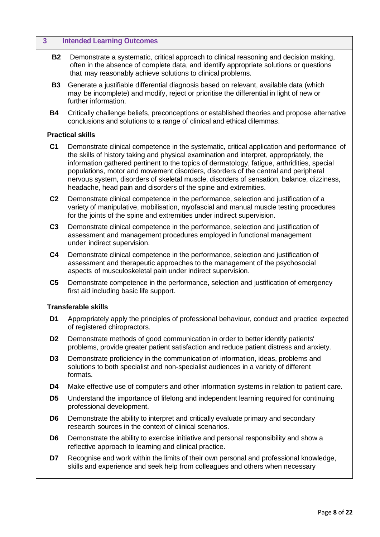# **3 Intended Learning Outcomes B2** Demonstrate a systematic, critical approach to clinical reasoning and decision making, often in the absence of complete data, and identify appropriate solutions or questions that may reasonably achieve solutions to clinical problems. **B3** Generate a justifiable differential diagnosis based on relevant, available data (which may be incomplete) and modify, reject or prioritise the differential in light of new or further information. **B4** Critically challenge beliefs, preconceptions or established theories and propose alternative conclusions and solutions to a range of clinical and ethical dilemmas. **Practical skills C1** Demonstrate clinical competence in the systematic, critical application and performance of the skills of history taking and physical examination and interpret, appropriately, the information gathered pertinent to the topics of dermatology, fatigue, arthridities, special populations, motor and movement disorders, disorders of the central and peripheral nervous system, disorders of skeletal muscle, disorders of sensation, balance, dizziness, headache, head pain and disorders of the spine and extremities. **C2** Demonstrate clinical competence in the performance, selection and justification of a variety of manipulative, mobilisation, myofascial and manual muscle testing procedures for the joints of the spine and extremities under indirect supervision. **C3** Demonstrate clinical competence in the performance, selection and justification of assessment and management procedures employed in functional management under indirect supervision. **C4** Demonstrate clinical competence in the performance, selection and justification of assessment and therapeutic approaches to the management of the psychosocial aspects of musculoskeletal pain under indirect supervision. **C5** Demonstrate competence in the performance, selection and justification of emergency first aid including basic life support. **Transferable skills D1** Appropriately apply the principles of professional behaviour, conduct and practice expected of registered chiropractors. **D2** Demonstrate methods of good communication in order to better identify patients' problems, provide greater patient satisfaction and reduce patient distress and anxiety. **D3** Demonstrate proficiency in the communication of information, ideas, problems and solutions to both specialist and non-specialist audiences in a variety of different formats. **D4** Make effective use of computers and other information systems in relation to patient care. **D5** Understand the importance of lifelong and independent learning required for continuing

- professional development.
- **D6** Demonstrate the ability to interpret and critically evaluate primary and secondary research sources in the context of clinical scenarios.
- **D6** Demonstrate the ability to exercise initiative and personal responsibility and show a reflective approach to learning and clinical practice.
- **D7** Recognise and work within the limits of their own personal and professional knowledge. skills and experience and seek help from colleagues and others when necessary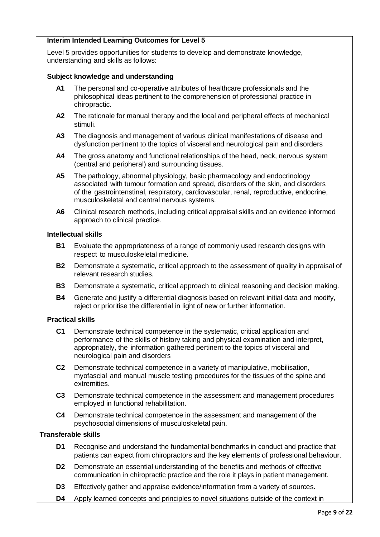#### **Interim Intended Learning Outcomes for Level 5**

Level 5 provides opportunities for students to develop and demonstrate knowledge, understanding and skills as follows:

#### **Subject knowledge and understanding**

- **A1** The personal and co-operative attributes of healthcare professionals and the philosophical ideas pertinent to the comprehension of professional practice in chiropractic.
- **A2** The rationale for manual therapy and the local and peripheral effects of mechanical stimuli.
- **A3** The diagnosis and management of various clinical manifestations of disease and dysfunction pertinent to the topics of visceral and neurological pain and disorders
- **A4** The gross anatomy and functional relationships of the head, neck, nervous system (central and peripheral) and surrounding tissues.
- **A5** The pathology, abnormal physiology, basic pharmacology and endocrinology associated with tumour formation and spread, disorders of the skin, and disorders of the gastrointenstinal, respiratory, cardiovascular, renal, reproductive, endocrine, musculoskeletal and central nervous systems.
- **A6** Clinical research methods, including critical appraisal skills and an evidence informed approach to clinical practice.

#### **Intellectual skills**

- **B1** Evaluate the appropriateness of a range of commonly used research designs with respect to musculoskeletal medicine.
- **B2** Demonstrate a systematic, critical approach to the assessment of quality in appraisal of relevant research studies.
- **B3** Demonstrate a systematic, critical approach to clinical reasoning and decision making.
- **B4** Generate and justify a differential diagnosis based on relevant initial data and modify, reject or prioritise the differential in light of new or further information.

#### **Practical skills**

- **C1** Demonstrate technical competence in the systematic, critical application and performance of the skills of history taking and physical examination and interpret, appropriately, the information gathered pertinent to the topics of visceral and neurological pain and disorders
- **C2** Demonstrate technical competence in a variety of manipulative, mobilisation, myofascial and manual muscle testing procedures for the tissues of the spine and extremities.
- **C3** Demonstrate technical competence in the assessment and management procedures employed in functional rehabilitation.
- **C4** Demonstrate technical competence in the assessment and management of the psychosocial dimensions of musculoskeletal pain.

#### **Transferable skills**

- **D1** Recognise and understand the fundamental benchmarks in conduct and practice that patients can expect from chiropractors and the key elements of professional behaviour.
- **D2** Demonstrate an essential understanding of the benefits and methods of effective communication in chiropractic practice and the role it plays in patient management.
- **D3** Effectively gather and appraise evidence/information from a variety of sources.
- **D4** Apply learned concepts and principles to novel situations outside of the context in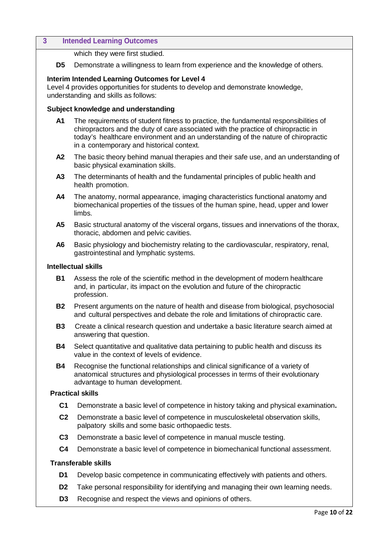#### **3 Intended Learning Outcomes**

which they were first studied.

**D5** Demonstrate a willingness to learn from experience and the knowledge of others.

#### **Interim Intended Learning Outcomes for Level 4**

Level 4 provides opportunities for students to develop and demonstrate knowledge, understanding and skills as follows:

#### **Subject knowledge and understanding**

- **A1** The requirements of student fitness to practice, the fundamental responsibilities of chiropractors and the duty of care associated with the practice of chiropractic in today's healthcare environment and an understanding of the nature of chiropractic in a contemporary and historical context.
- **A2** The basic theory behind manual therapies and their safe use, and an understanding of basic physical examination skills.
- **A3** The determinants of health and the fundamental principles of public health and health promotion.
- **A4** The anatomy, normal appearance, imaging characteristics functional anatomy and biomechanical properties of the tissues of the human spine, head, upper and lower limbs.
- **A5** Basic structural anatomy of the visceral organs, tissues and innervations of the thorax, thoracic, abdomen and pelvic cavities.
- **A6** Basic physiology and biochemistry relating to the cardiovascular, respiratory, renal, gastrointestinal and lymphatic systems.

#### **Intellectual skills**

- **B1** Assess the role of the scientific method in the development of modern healthcare and, in particular, its impact on the evolution and future of the chiropractic profession.
- **B2** Present arguments on the nature of health and disease from biological, psychosocial and cultural perspectives and debate the role and limitations of chiropractic care.
- **B3** Create a clinical research question and undertake a basic literature search aimed at answering that question.
- **B4** Select quantitative and qualitative data pertaining to public health and discuss its value in the context of levels of evidence.
- **B4** Recognise the functional relationships and clinical significance of a variety of anatomical structures and physiological processes in terms of their evolutionary advantage to human development.

#### **Practical skills**

- **C1** Demonstrate a basic level of competence in history taking and physical examination**.**
- **C2** Demonstrate a basic level of competence in musculoskeletal observation skills, palpatory skills and some basic orthopaedic tests.
- **C3** Demonstrate a basic level of competence in manual muscle testing.
- **C4** Demonstrate a basic level of competence in biomechanical functional assessment.

#### **Transferable skills**

- **D1** Develop basic competence in communicating effectively with patients and others.
- **D2** Take personal responsibility for identifying and managing their own learning needs.
- **D3** Recognise and respect the views and opinions of others.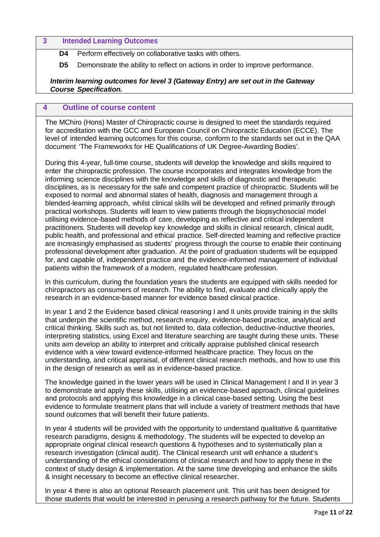#### **3 Intended Learning Outcomes**

**D4** Perform effectively on collaborative tasks with others.

**D5** Demonstrate the ability to reflect on actions in order to improve performance.

#### *Interim learning outcomes for level 3 (Gateway Entry) are set out in the Gateway Course Specification.*

#### <span id="page-10-0"></span>**4 Outline of course content**

The MChiro (Hons) Master of Chiropractic course is designed to meet the standards required for accreditation with the GCC and European Council on Chiropractic Education (ECCE). The level of intended learning outcomes for this course, conform to the standards set out in the QAA document 'The Frameworks for HE Qualifications of UK Degree-Awarding Bodies'.

During this 4-year, full-time course, students will develop the knowledge and skills required to enter the chiropractic profession. The course incorporates and integrates knowledge from the informing science disciplines with the knowledge and skills of diagnostic and therapeutic disciplines, as is necessary for the safe and competent practice of chiropractic. Students will be exposed to normal and abnormal states of health, diagnosis and management through a blended-learning approach, whilst clinical skills will be developed and refined primarily through practical workshops. Students will learn to view patients through the biopsychosocial model utilising evidence-based methods of care, developing as reflective and critical independent practitioners. Students will develop key knowledge and skills in clinical research, clinical audit, public health, and professional and ethical practice. Self-directed learning and reflective practice are increasingly emphasised as students' progress through the course to enable their continuing professional development after graduation. At the point of graduation students will be equipped for, and capable of, independent practice and the evidence-informed management of individual patients within the framework of a modern, regulated healthcare profession.

In this curriculum, during the foundation years the students are equipped with skills needed for chiropractors as consumers of research. The ability to find, evaluate and clinically apply the research in an evidence-based manner for evidence based clinical practice.

In year 1 and 2 the Evidence based clinical reasoning I and II units provide training in the skills that underpin the scientific method, research enquiry, evidence-based practice, analytical and critical thinking. Skills such as, but not limited to, data collection, deductive-inductive theories, interpreting statistics, using Excel and literature searching are taught during these units. These units aim develop an ability to interpret and critically appraise published clinical research evidence with a view toward evidence-informed healthcare practice. They focus on the understanding, and critical appraisal, of different clinical research methods, and how to use this in the design of research as well as in evidence-based practice.

The knowledge gained in the lower years will be used in Clinical Management I and II in year 3 to demonstrate and apply these skills, utilising an evidence-based approach, clinical guidelines and protocols and applying this knowledge in a clinical case-based setting. Using the best evidence to formulate treatment plans that will include a variety of treatment methods that have sound outcomes that will benefit their future patients.

In year 4 students will be provided with the opportunity to understand qualitative & quantitative research paradigms, designs & methodology. The students will be expected to develop an appropriate original clinical research questions & hypotheses and to systematically plan a research investigation (clinical audit). The Clinical research unit will enhance a student's understanding of the ethical considerations of clinical research and how to apply these in the context of study design & implementation. At the same time developing and enhance the skills & insight necessary to become an effective clinical researcher.

In year 4 there is also an optional Research placement unit. This unit has been designed for those students that would be interested in perusing a research pathway for the future. Students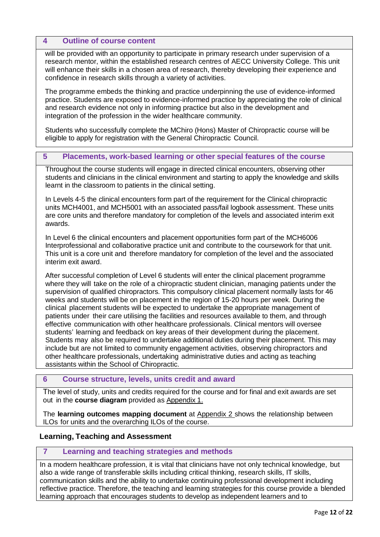#### **4 Outline of course content**

will be provided with an opportunity to participate in primary research under supervision of a research mentor, within the established research centres of AECC University College. This unit will enhance their skills in a chosen area of research, thereby developing their experience and confidence in research skills through a variety of activities.

The programme embeds the thinking and practice underpinning the use of evidence-informed practice. Students are exposed to evidence-informed practice by appreciating the role of clinical and research evidence not only in informing practice but also in the development and integration of the profession in the wider healthcare community.

Students who successfully complete the MChiro (Hons) Master of Chiropractic course will be eligible to apply for registration with the General Chiropractic Council.

## <span id="page-11-0"></span>**5 Placements, work-based learning or other special features of the course**

Throughout the course students will engage in directed clinical encounters, observing other students and clinicians in the clinical environment and starting to apply the knowledge and skills learnt in the classroom to patients in the clinical setting.

In Levels 4-5 the clinical encounters form part of the requirement for the Clinical chiropractic units MCH4001, and MCH5001 with an associated pass/fail logbook assessment. These units are core units and therefore mandatory for completion of the levels and associated interim exit awards.

In Level 6 the clinical encounters and placement opportunities form part of the MCH6006 Interprofessional and collaborative practice unit and contribute to the coursework for that unit. This unit is a core unit and therefore mandatory for completion of the level and the associated interim exit award.

After successful completion of Level 6 students will enter the clinical placement programme where they will take on the role of a chiropractic student clinician, managing patients under the supervision of qualified chiropractors. This compulsory clinical placement normally lasts for 46 weeks and students will be on placement in the region of 15-20 hours per week. During the clinical placement students will be expected to undertake the appropriate management of patients under their care utilising the facilities and resources available to them, and through effective communication with other healthcare professionals. Clinical mentors will oversee students' learning and feedback on key areas of their development during the placement. Students may also be required to undertake additional duties during their placement. This may include but are not limited to community engagement activities, observing chiropractors and other healthcare professionals, undertaking administrative duties and acting as teaching assistants within the School of Chiropractic.

#### <span id="page-11-1"></span>**6 Course structure, levels, units credit and award**

The level of study, units and credits required for the course and for final and exit awards are set out in the **course diagram** provided as Appendix 1.

The **learning outcomes mapping document** at Appendix 2 shows the relationship between ILOs for units and the overarching ILOs of the course.

#### **Learning, Teaching and Assessment**

#### <span id="page-11-2"></span>**7 Learning and teaching strategies and methods**

In a modern healthcare profession, it is vital that clinicians have not only technical knowledge, but also a wide range of transferable skills including critical thinking, research skills, IT skills, communication skills and the ability to undertake continuing professional development including reflective practice. Therefore, the teaching and learning strategies for this course provide a blended learning approach that encourages students to develop as independent learners and to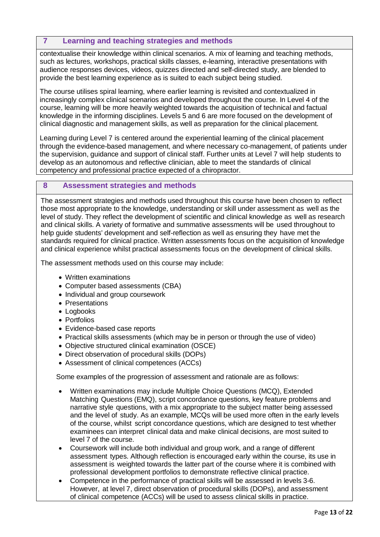## **7 Learning and teaching strategies and methods**

contextualise their knowledge within clinical scenarios. A mix of learning and teaching methods, such as lectures, workshops, practical skills classes, e-learning, interactive presentations with audience responses devices, videos, quizzes directed and self-directed study, are blended to provide the best learning experience as is suited to each subject being studied.

The course utilises spiral learning, where earlier learning is revisited and contextualized in increasingly complex clinical scenarios and developed throughout the course. In Level 4 of the course, learning will be more heavily weighted towards the acquisition of technical and factual knowledge in the informing disciplines. Levels 5 and 6 are more focused on the development of clinical diagnostic and management skills, as well as preparation for the clinical placement.

Learning during Level 7 is centered around the experiential learning of the clinical placement through the evidence-based management, and where necessary co-management, of patients under the supervision, guidance and support of clinical staff. Further units at Level 7 will help students to develop as an autonomous and reflective clinician, able to meet the standards of clinical competency and professional practice expected of a chiropractor.

#### <span id="page-12-0"></span>**8 Assessment strategies and methods**

The assessment strategies and methods used throughout this course have been chosen to reflect those most appropriate to the knowledge, understanding or skill under assessment as well as the level of study. They reflect the development of scientific and clinical knowledge as well as research and clinical skills. A variety of formative and summative assessments will be used throughout to help guide students' development and self-reflection as well as ensuring they have met the standards required for clinical practice. Written assessments focus on the acquisition of knowledge and clinical experience whilst practical assessments focus on the development of clinical skills.

The assessment methods used on this course may include:

- Written examinations
- Computer based assessments (CBA)
- Individual and group coursework
- Presentations
- Logbooks
- Portfolios
- Evidence-based case reports
- Practical skills assessments (which may be in person or through the use of video)
- Objective structured clinical examination (OSCE)
- Direct observation of procedural skills (DOPs)
- Assessment of clinical competences (ACCs)

Some examples of the progression of assessment and rationale are as follows:

- Written examinations may include Multiple Choice Questions (MCQ), Extended Matching Questions (EMQ), script concordance questions, key feature problems and narrative style questions, with a mix appropriate to the subject matter being assessed and the level of study. As an example, MCQs will be used more often in the early levels of the course, whilst script concordance questions, which are designed to test whether examinees can interpret clinical data and make clinical decisions, are most suited to level 7 of the course.
- Coursework will include both individual and group work, and a range of different assessment types. Although reflection is encouraged early within the course, its use in assessment is weighted towards the latter part of the course where it is combined with professional development portfolios to demonstrate reflective clinical practice.
- Competence in the performance of practical skills will be assessed in levels 3-6. However, at level 7, direct observation of procedural skills (DOPs), and assessment of clinical competence (ACCs) will be used to assess clinical skills in practice.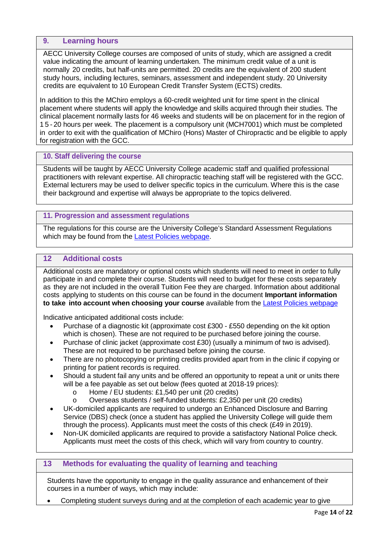#### <span id="page-13-0"></span>**9. Learning hours**

AECC University College courses are composed of units of study, which are assigned a credit value indicating the amount of learning undertaken. The minimum credit value of a unit is normally 20 credits, but half-units are permitted. 20 credits are the equivalent of 200 student study hours, including lectures, seminars, assessment and independent study. 20 University credits are equivalent to 10 European Credit Transfer System (ECTS) credits.

In addition to this the MChiro employs a 60-credit weighted unit for time spent in the clinical placement where students will apply the knowledge and skills acquired through their studies. The clinical placement normally lasts for 46 weeks and students will be on placement for in the region of 1 5 - 20 hours per week. The placement is a compulsory unit (MCH7001) which must be completed in order to exit with the qualification of MChiro (Hons) Master of Chiropractic and be eligible to apply for registration with the GCC.

#### <span id="page-13-1"></span>**10. Staff delivering the course**

Students will be taught by AECC University College academic staff and qualified professional practitioners with relevant expertise. All chiropractic teaching staff will be registered with the GCC. External lecturers may be used to deliver specific topics in the curriculum. Where this is the case their background and expertise will always be appropriate to the topics delivered.

#### <span id="page-13-2"></span>**11. Progression and assessment regulations**

The regulations for this course are the University College's Standard Assessment Regulations which may be found from the Latest Policies webpage.

## <span id="page-13-3"></span>**12 Additional costs**

Additional costs are mandatory or optional costs which students will need to meet in order to fully participate in and complete their course. Students will need to budget for these costs separately as they are not included in the overall Tuition Fee they are charged. Information about additional costs applying to students on this course can be found in the document **Important information to take into account when choosing your course** available from the Latest Policies webpage

Indicative anticipated additional costs include:

- Purchase of a diagnostic kit (approximate cost £300 £550 depending on the kit option which is chosen). These are not required to be purchased before joining the course.
- Purchase of clinic jacket (approximate cost £30) (usually a minimum of two is advised). These are not required to be purchased before joining the course.
- There are no photocopying or printing credits provided apart from in the clinic if copying or printing for patient records is required.
- Should a student fail any units and be offered an opportunity to repeat a unit or units there will be a fee payable as set out below (fees quoted at 2018-19 prices):
	- o Home / EU students: £1,540 per unit (20 credits)<br>O Overseas students / self-funded students: £2,350
	- Overseas students / self-funded students: £2,350 per unit (20 credits)
- UK-domiciled applicants are required to undergo an Enhanced Disclosure and Barring Service (DBS) check (once a student has applied the University College will guide them through the process). Applicants must meet the costs of this check (£49 in 2019).
- Non-UK domiciled applicants are required to provide a satisfactory National Police check. Applicants must meet the costs of this check, which will vary from country to country.

## <span id="page-13-4"></span>**13 Methods for evaluating the quality of learning and teaching**

Students have the opportunity to engage in the quality assurance and enhancement of their courses in a number of ways, which may include:

• Completing student surveys during and at the completion of each academic year to give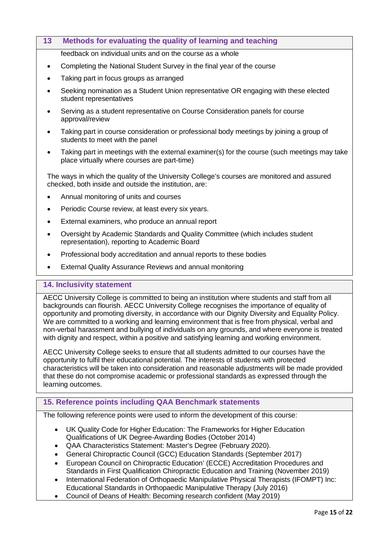| 13        | Methods for evaluating the quality of learning and teaching                         |
|-----------|-------------------------------------------------------------------------------------|
|           | feedback on individual units and on the course as a whole                           |
|           | Completing the National Student Survey in the final year of the course              |
| $\bullet$ | Taking part in focus groups as arranged                                             |
|           | Seeking nomination as a Student Union representative OR engaging with these elected |

- Seeking nomination as a Student Union representative OR engaging with these elected student representatives
- Serving as a student representative on Course Consideration panels for course approval/review
- Taking part in course consideration or professional body meetings by joining a group of students to meet with the panel
- Taking part in meetings with the external examiner(s) for the course (such meetings may take place virtually where courses are part-time)

The ways in which the quality of the University College's courses are monitored and assured checked, both inside and outside the institution, are:

- Annual monitoring of units and courses
- Periodic Course review, at least every six years.
- External examiners, who produce an annual report
- Oversight by Academic Standards and Quality Committee (which includes student representation), reporting to Academic Board
- Professional body accreditation and annual reports to these bodies
- External Quality Assurance Reviews and annual monitoring

#### <span id="page-14-0"></span>**14. Inclusivity statement**

AECC University College is committed to being an institution where students and staff from all backgrounds can flourish. AECC University College recognises the importance of equality of opportunity and promoting diversity, in accordance with our Dignity Diversity and Equality Policy. We are committed to a working and learning environment that is free from physical, verbal and non-verbal harassment and bullying of individuals on any grounds, and where everyone is treated with dignity and respect, within a positive and satisfying learning and working environment.

AECC University College seeks to ensure that all students admitted to our courses have the opportunity to fulfil their educational potential. The interests of students with protected characteristics will be taken into consideration and reasonable adjustments will be made provided that these do not compromise academic or professional standards as expressed through the learning outcomes.

## <span id="page-14-1"></span>**15. Reference points including QAA Benchmark statements**

The following reference points were used to inform the development of this course:

- UK Quality Code for Higher Education: The Frameworks for Higher Education Qualifications of UK Degree-Awarding Bodies (October 2014)
- QAA Characteristics Statement: Master's Degree (February 2020).
- General Chiropractic Council (GCC) Education Standards (September 2017)
- European Council on Chiropractic Education' (ECCE) Accreditation Procedures and Standards in First Qualification Chiropractic Education and Training (November 2019)
- International Federation of Orthopaedic Manipulative Physical Therapists (IFOMPT) Inc: Educational Standards in Orthopaedic Manipulative Therapy (July 2016)
- Council of Deans of Health: Becoming research confident (May 2019)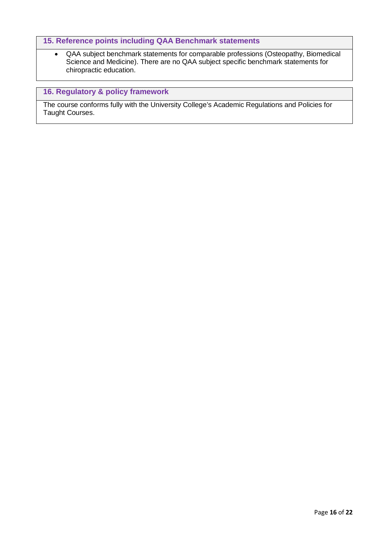## **15. Reference points including QAA Benchmark statements**

• QAA subject benchmark statements for comparable professions (Osteopathy, Biomedical Science and Medicine). There are no QAA subject specific benchmark statements for chiropractic education.

# <span id="page-15-0"></span>**16. Regulatory & policy framework**

The course conforms fully with the University College's Academic Regulations and Policies for Taught Courses.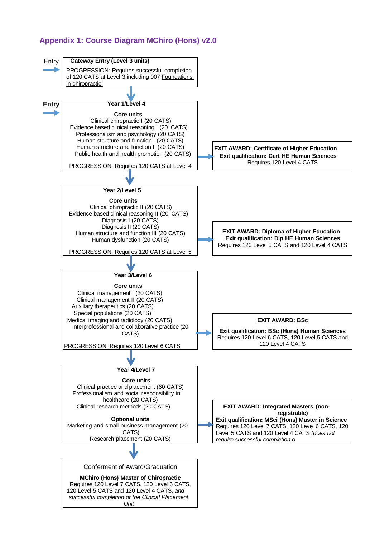# <span id="page-16-0"></span>**Appendix 1: Course Diagram MChiro (Hons) v2.0**

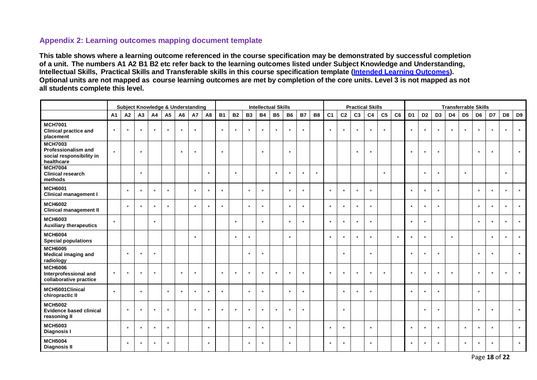# **Appendix 2: Learning outcomes mapping document template**

**This table shows where a learning outcome referenced in the course specification may be demonstrated by successful completion of a unit. The numbers A1 A2 B1 B2 etc refer back to the learning outcomes listed under Subject Knowledge and Understanding, Intellectual Skills, Practical Skills and Transferable skills in this course specification template (Intended Learning Outcomes). Optional units are not mapped as course learning outcomes are met by completion of the core units. Level 3 is not mapped as not all students complete this level.**

<span id="page-17-0"></span>

|                                                                                 |           |         |         |         |                |                | <b>Subject Knowledge &amp; Understanding</b> |         | <b>Intellectual Skills</b> |           |           |           |           |           |           |         | <b>Practical Skills</b> |                |                |                |                | <b>Transferrable Skills</b> |                      |                |                |                |                |                |         |                |                |
|---------------------------------------------------------------------------------|-----------|---------|---------|---------|----------------|----------------|----------------------------------------------|---------|----------------------------|-----------|-----------|-----------|-----------|-----------|-----------|---------|-------------------------|----------------|----------------|----------------|----------------|-----------------------------|----------------------|----------------|----------------|----------------|----------------|----------------|---------|----------------|----------------|
|                                                                                 | <b>A1</b> | A2      | A3      | A4      | A <sub>5</sub> | A <sub>6</sub> | <b>A7</b>                                    | A8      | <b>B1</b>                  | <b>B2</b> | <b>B3</b> | <b>B4</b> | <b>B5</b> | <b>B6</b> | <b>B7</b> | B8      | C <sub>1</sub>          | C <sub>2</sub> | C <sub>3</sub> | C <sub>4</sub> | C <sub>5</sub> | C6                          | D <sub>1</sub>       | D <sub>2</sub> | D <sub>3</sub> | D <sub>4</sub> | D <sub>5</sub> | D <sub>6</sub> | D7      | D <sub>8</sub> | D <sub>9</sub> |
| <b>MCH7001</b><br><b>Clinical practice and</b><br>placement                     | $\star$   | $\star$ |         | $\star$ | $\star$        | $\star$        | $\star$                                      |         |                            |           | $\star$   | $\star$   | $\star$   | $\star$   | $\star$   |         |                         | $\star$        | $\star$        | $\star$        | $\star$        |                             | $\star$              | $\star$        | $\star$        | $\star$        | $\star$        | $\star$        | $\star$ |                | $\star$        |
| <b>MCH7003</b><br>Professionalism and<br>social responsibility in<br>healthcare | $\star$   |         | $\star$ |         |                | $\star$        |                                              |         | $\star$                    |           |           | $\star$   |           | $\star$   |           |         |                         |                | $\star$        |                |                |                             | $\star$              | $\star$        | $\star$        |                |                | $\star$        | $\star$ |                | $\star$        |
| <b>MCH7004</b><br><b>Clinical research</b><br>methods                           |           |         | $\star$ |         |                |                |                                              | $\star$ |                            |           |           |           | $\star$   | $\star$   | $^\star$  | $\star$ |                         |                |                |                | $\star$        |                             |                      | $\star$        | $\star$        |                | $\star$        |                |         |                |                |
| <b>MCH6001</b><br><b>Clinical management I</b>                                  |           | $\star$ |         | $\star$ | $\star$        |                |                                              |         |                            |           | $\star$   | $\star$   |           | $\star$   | $\star$   |         |                         | $\star$        | $\star$        |                |                |                             |                      | $\star$        | $\star$        |                |                | $\star$        | $\star$ |                | $\star$        |
| <b>MCH6002</b><br><b>Clinical management II</b>                                 |           | $\star$ | $\star$ | $\star$ | $\star$        |                | $\star$                                      | $\star$ | $\star$                    |           | $\star$   | $\star$   |           | $\star$   | $\star$   |         | $\star$                 | $\star$        | $\star$        | $\star$        |                |                             | $\star$              | $\star$        | $\star$        |                |                | $\star$        | $\star$ |                | $\star$        |
| <b>MCH6003</b><br><b>Auxiliary therapeutics</b>                                 | $\star$   |         |         | $\star$ |                |                |                                              |         |                            |           |           | $\star$   |           | $\star$   | $\star$   |         | $\star$                 | $\star$        | $\star$        | $\star$        |                |                             | $\star$              | $\star$        |                |                |                | $\star$        | $\star$ |                | $\star$        |
| <b>MCH6004</b><br><b>Special populations</b>                                    |           |         |         |         |                |                | $\star$                                      |         |                            |           | $\star$   |           |           | $\star$   |           |         |                         | $\star$        | $\star$        |                |                | $\star$                     |                      | $\star$        |                | $\star$        |                |                | $\star$ |                | $\star$        |
| <b>MCH6005</b><br><b>Medical imaging and</b><br>radiology                       |           | $\star$ | $\star$ | $\star$ |                |                |                                              |         |                            |           | $\star$   | $\star$   |           |           |           |         |                         | $\star$        |                | $\star$        |                |                             | $\star$              | $\star$        | $\star$        |                |                | $\star$        | $\star$ |                | $\star$        |
| <b>MCH6006</b><br>Interprofessional and<br>collaborative practice               | $\star$   | $\star$ | $\star$ | $\star$ |                | $^\star$       |                                              |         | $\star$                    |           | $\star$   | $\star$   | $\star$   | $\star$   | $\star$   |         | $\ddot{\phantom{1}}$    | $\star$        | $\star$        |                | $\star$        |                             | $\ddot{\phantom{a}}$ | $\star$        | $\star$        | $\star$        |                | $\star$        | $\star$ |                | $\star$        |
| MCH5001Clinical<br>chiropractic II                                              | $\star$   |         | $\star$ |         | $\star$        | $\star$        |                                              |         | $\star$                    |           | $\star$   | $\star$   |           | $\star$   | $\star$   |         |                         | $\star$        | $\star$        |                |                |                             |                      | $\star$        | $\star$        |                |                | $\star$        |         |                |                |
| <b>MCH5002</b><br><b>Evidence based clinical</b><br>reasoning II                |           | $\star$ |         | $\star$ | $\star$        |                | $\star$                                      | $\star$ | $\star$                    |           | $\star$   | $\star$   | $\star$   | $\star$   | $\star$   |         |                         | $\star$        |                |                |                |                             |                      | $\star$        | $\star$        |                |                | $\star$        | $\star$ |                | $\star$        |
| <b>MCH5003</b><br><b>Diagnosis I</b>                                            |           | $\star$ |         | $\star$ | $\star$        |                |                                              | $\star$ |                            |           | $\star$   | $\star$   |           | $\star$   |           |         |                         | $\star$        |                | $\star$        |                |                             |                      | $\star$        | $\star$        |                |                | $\star$        | $\star$ |                | $\star$        |
| <b>MCH5004</b><br><b>Diagnosis II</b>                                           |           | $\star$ | $\star$ | $\star$ | $\star$        |                |                                              | $\star$ |                            |           | $\star$   | $\star$   |           | $\star$   |           |         | $\star$                 | $\star$        |                | $\star$        |                |                             | $\star$              | $\star$        | $\star$        |                | $\star$        | $\star$        | $\star$ |                | $\star$        |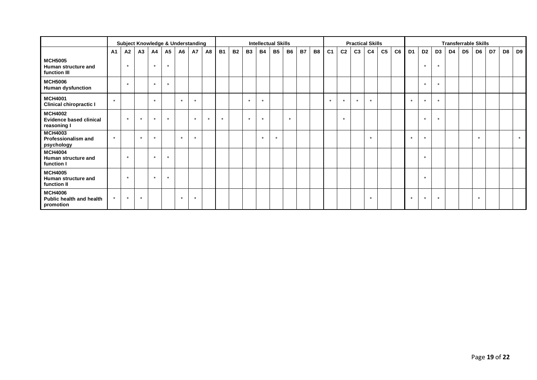|                                                                 |           |         | <b>Subject Knowledge &amp; Understanding</b> |         |                |                |         |         |           |           |           |           | <b>Intellectual Skills</b> |           |           |           |                |                | <b>Practical Skills</b> |                |                |    | <b>Transferrable Skills</b> |                |                |    |                |         |    |                |         |
|-----------------------------------------------------------------|-----------|---------|----------------------------------------------|---------|----------------|----------------|---------|---------|-----------|-----------|-----------|-----------|----------------------------|-----------|-----------|-----------|----------------|----------------|-------------------------|----------------|----------------|----|-----------------------------|----------------|----------------|----|----------------|---------|----|----------------|---------|
|                                                                 | <b>A1</b> | A2      | A3                                           | A4      | A <sub>5</sub> | A <sub>6</sub> | A7      | A8      | <b>B1</b> | <b>B2</b> | <b>B3</b> | <b>B4</b> | <b>B5</b>                  | <b>B6</b> | <b>B7</b> | <b>B8</b> | C <sub>1</sub> | C <sub>2</sub> | C <sub>3</sub>          | C <sub>4</sub> | C <sub>5</sub> | C6 | D <sub>1</sub>              | D <sub>2</sub> | D <sub>3</sub> | D4 | D <sub>5</sub> | D6      | D7 | D <sub>8</sub> | D9      |
| <b>MCH5005</b><br>Human structure and<br>function III           |           | $\star$ |                                              | $\star$ | $\star$        |                |         |         |           |           |           |           |                            |           |           |           |                |                |                         |                |                |    |                             | $\star$        | $\star$        |    |                |         |    |                |         |
| <b>MCH5006</b><br><b>Human dysfunction</b>                      |           | $\star$ |                                              | $\star$ | $\star$        |                |         |         |           |           |           |           |                            |           |           |           |                |                |                         |                |                |    |                             | $\star$        | $\star$        |    |                |         |    |                |         |
| <b>MCH4001</b><br><b>Clinical chiropractic I</b>                | $\star$   |         |                                              | $\star$ |                | $\star$        | $\star$ |         |           |           | $\star$   | $\star$   |                            |           |           |           | $\star$        | $\star$        | $\star$                 | $\star$        |                |    | $\star$                     | $\star$        | $\star$        |    |                |         |    |                |         |
| <b>MCH4002</b><br><b>Evidence based clinical</b><br>reasoning I |           | $\star$ | $\star$                                      | $\star$ | $\star$        |                | $\star$ | $\star$ | $\star$   |           | $\star$   | $\star$   |                            | $\star$   |           |           |                | $\star$        |                         |                |                |    |                             | $\star$        | $\star$        |    |                |         |    |                |         |
| <b>MCH4003</b><br>Professionalism and<br>psychology             | $\star$   |         | $\star$                                      | $\star$ |                | $\star$        | $\star$ |         |           |           |           | $\star$   | $\star$                    |           |           |           |                |                |                         |                |                |    |                             | $\star$        |                |    |                | $\star$ |    |                | $\star$ |
| <b>MCH4004</b><br>Human structure and<br>function I             |           | $\star$ |                                              | $\star$ | $\star$        |                |         |         |           |           |           |           |                            |           |           |           |                |                |                         |                |                |    |                             | $\star$        |                |    |                |         |    |                |         |
| <b>MCH4005</b><br>Human structure and<br>function II            |           | $\star$ |                                              | $\star$ | $\star$        |                |         |         |           |           |           |           |                            |           |           |           |                |                |                         |                |                |    |                             | $\star$        |                |    |                |         |    |                |         |
| <b>MCH4006</b><br>Public health and health<br>promotion         | $\star$   | $\star$ | $\star$                                      |         |                | $\star$        | $\star$ |         |           |           |           |           |                            |           |           |           |                |                |                         | $\star$        |                |    | $\star$                     | $\star$        | $\star$        |    |                | $\star$ |    |                |         |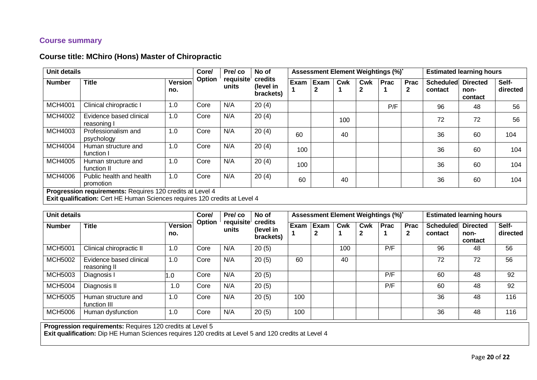## **Course summary**

# **Course title: MChiro (Hons) Master of Chiropractic**

| <b>Unit details</b> |                                                                                                                                         |                       | Core/  | Pre/co             | No of                             |      |                      |     |          | Assessment Element Weightings (%)* |                             |                             | <b>Estimated learning hours</b>    |                   |
|---------------------|-----------------------------------------------------------------------------------------------------------------------------------------|-----------------------|--------|--------------------|-----------------------------------|------|----------------------|-----|----------|------------------------------------|-----------------------------|-----------------------------|------------------------------------|-------------------|
| <b>Number</b>       | <b>Title</b>                                                                                                                            | <b>Version</b><br>no. | Option | requisite<br>units | credits<br>(level in<br>brackets) | Exam | Exam<br>$\mathbf{2}$ | Cwk | Cwk<br>2 | <b>Prac</b>                        | <b>Prac</b><br>$\mathbf{2}$ | <b>Scheduled</b><br>contact | <b>Directed</b><br>non-<br>contact | Self-<br>directed |
| <b>MCH4001</b>      | Clinical chiropractic I                                                                                                                 | 1.0                   | Core   | N/A                | 20(4)                             |      |                      |     |          | P/F                                |                             | 96                          | 48                                 | 56                |
| <b>MCH4002</b>      | Evidence based clinical<br>reasoning I                                                                                                  | 1.0                   | Core   | N/A                | 20(4)                             |      |                      | 100 |          |                                    |                             | 72                          | 72                                 | 56                |
| <b>MCH4003</b>      | Professionalism and<br>psychology                                                                                                       | 1.0                   | Core   | N/A                | 20(4)                             | 60   |                      | 40  |          |                                    |                             | 36                          | 60                                 | 104               |
| <b>MCH4004</b>      | Human structure and<br>function I                                                                                                       | 1.0                   | Core   | N/A                | 20(4)                             | 100  |                      |     |          |                                    |                             | 36                          | 60                                 | 104               |
| <b>MCH4005</b>      | Human structure and<br>function II                                                                                                      | 1.0                   | Core   | N/A                | 20(4)                             | 100  |                      |     |          |                                    |                             | 36                          | 60                                 | 104               |
| <b>MCH4006</b>      | Public health and health<br>promotion                                                                                                   | 1.0                   | Core   | N/A                | 20(4)                             | 60   |                      | 40  |          |                                    |                             | 36                          | 60                                 | 104               |
|                     | Progression requirements: Requires 120 credits at Level 4<br>Exit qualification: Cert HE Human Sciences requires 120 credits at Level 4 |                       |        |                    |                                   |      |                      |     |          |                                    |                             |                             |                                    |                   |

<span id="page-19-0"></span>

| Unit details   |                                         |                       | Core/  | Pre/co             | No of                             |      | Assessment Element Weightings (%)* |     |          |      |                  |                             | <b>Estimated learning hours</b>    |                   |
|----------------|-----------------------------------------|-----------------------|--------|--------------------|-----------------------------------|------|------------------------------------|-----|----------|------|------------------|-----------------------------|------------------------------------|-------------------|
| <b>Number</b>  | Title                                   | <b>Version</b><br>no. | Option | requisite<br>units | credits<br>(level in<br>brackets) | Exam | Exam<br>2                          | Cwk | Cwk<br>2 | Prac | <b>Prac</b><br>2 | <b>Scheduled</b><br>contact | <b>Directed</b><br>non-<br>contact | Self-<br>directed |
| <b>MCH5001</b> | Clinical chiropractic II                | 1.0                   | Core   | N/A                | 20(5)                             |      |                                    | 100 |          | P/F  |                  | 96                          | 48                                 | 56                |
| <b>MCH5002</b> | Evidence based clinical<br>reasoning II | 1.0                   | Core   | N/A                | 20(5)                             | 60   |                                    | 40  |          |      |                  | 72                          | 72                                 | 56                |
| <b>MCH5003</b> | Diagnosis I                             | 1.0                   | Core   | N/A                | 20(5)                             |      |                                    |     |          | P/F  |                  | 60                          | 48                                 | 92                |
| <b>MCH5004</b> | Diagnosis II                            | 1.0                   | Core   | N/A                | 20(5)                             |      |                                    |     |          | P/F  |                  | 60                          | 48                                 | 92                |
| <b>MCH5005</b> | Human structure and<br>function III     | 1.0                   | Core   | N/A                | 20(5)                             | 100  |                                    |     |          |      |                  | 36                          | 48                                 | 116               |
| <b>MCH5006</b> | Human dysfunction                       | 1.0                   | Core   | N/A                | 20(5)                             | 100  |                                    |     |          |      |                  | 36                          | 48                                 | 116               |

**Progression requirements:** Requires 120 credits at Level 5

**Exit qualification:** Dip HE Human Sciences requires 120 credits at Level 5 and 120 credits at Level 4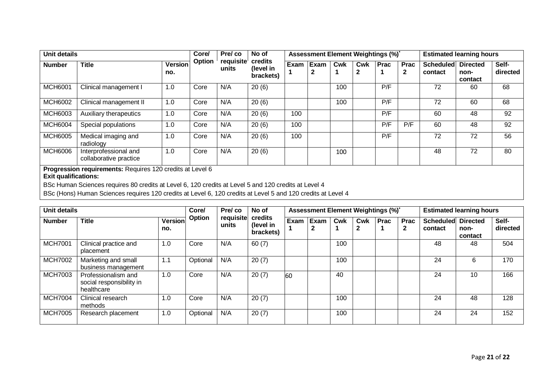| <b>Unit details</b> |                                                                                          |                | Core/  | Pre/co             | No of                             |      | Assessment Element Weightings (%)* |     |          | <b>Estimated learning hours</b> |                      |                             |                                    |                   |
|---------------------|------------------------------------------------------------------------------------------|----------------|--------|--------------------|-----------------------------------|------|------------------------------------|-----|----------|---------------------------------|----------------------|-----------------------------|------------------------------------|-------------------|
| <b>Number</b>       | <b>Title</b>                                                                             | Version<br>no. | Option | requisite<br>units | credits<br>(level in<br>brackets) | Exam | Exam<br>2                          | Cwk | Cwk<br>◠ | <b>Prac</b>                     | Prac<br>$\mathbf{2}$ | <b>Scheduled</b><br>contact | <b>Directed</b><br>non-<br>contact | Self-<br>directed |
| <b>MCH6001</b>      | Clinical management I                                                                    | 1.0            | Core   | N/A                | 20(6)                             |      |                                    | 100 |          | P/F                             |                      | 72                          | 60                                 | 68                |
| <b>MCH6002</b>      | Clinical management II                                                                   | 1.0            | Core   | N/A                | 20(6)                             |      |                                    | 100 |          | P/F                             |                      | 72                          | 60                                 | 68                |
| <b>MCH6003</b>      | Auxiliary therapeutics                                                                   | 1.0            | Core   | N/A                | 20(6)                             | 100  |                                    |     |          | P/F                             |                      | 60                          | 48                                 | 92                |
| <b>MCH6004</b>      | Special populations                                                                      | 1.0            | Core   | N/A                | 20(6)                             | 100  |                                    |     |          | P/F                             | P/F                  | 60                          | 48                                 | 92                |
| <b>MCH6005</b>      | Medical imaging and<br>radiology                                                         | 1.0            | Core   | N/A                | 20(6)                             | 100  |                                    |     |          | P/F                             |                      | 72                          | 72                                 | 56                |
| <b>MCH6006</b>      | Interprofessional and<br>collaborative practice                                          | 1.0            | Core   | N/A                | 20(6)                             |      |                                    | 100 |          |                                 |                      | 48                          | 72                                 | 80                |
|                     | Progression requirements: Requires 120 credits at Level 6<br><b>Exit qualifications:</b> |                |        |                    |                                   |      |                                    |     |          |                                 |                      |                             |                                    |                   |

BSc Human Sciences requires 80 credits at Level 6, 120 credits at Level 5 and 120 credits at Level 4

BSc (Hons) Human Sciences requires 120 credits at Level 6, 120 credits at Level 5 and 120 credits at Level 4

| <b>Unit details</b> |                                                               |                | Core/         | Pre/co             | No of                             |      | Assessment Element Weightings (%)* |     |          |      |                      |                             | <b>Estimated learning hours</b>    |                   |
|---------------------|---------------------------------------------------------------|----------------|---------------|--------------------|-----------------------------------|------|------------------------------------|-----|----------|------|----------------------|-----------------------------|------------------------------------|-------------------|
| <b>Number</b>       | <b>Title</b>                                                  | Version<br>no. | <b>Option</b> | requisite<br>units | credits<br>(level in<br>brackets) | Exam | <b>Exam</b><br>2                   | Cwk | Cwk<br>ົ | Prac | Prac<br>$\mathbf{2}$ | <b>Scheduled</b><br>contact | <b>Directed</b><br>non-<br>contact | Self-<br>directed |
| <b>MCH7001</b>      | Clinical practice and<br>placement                            | 1.0            | Core          | N/A                | 60(7)                             |      |                                    | 100 |          |      |                      | 48                          | 48                                 | 504               |
| <b>MCH7002</b>      | Marketing and small<br>business management                    | 1.1            | Optional      | N/A                | 20(7)                             |      |                                    | 100 |          |      |                      | 24                          | 6                                  | 170               |
| <b>MCH7003</b>      | Professionalism and<br>social responsibility in<br>healthcare | 1.0            | Core          | N/A                | 20(7)                             | 60   |                                    | 40  |          |      |                      | 24                          | 10                                 | 166               |
| <b>MCH7004</b>      | Clinical research<br>methods                                  | 1.0            | Core          | N/A                | 20(7)                             |      |                                    | 100 |          |      |                      | 24                          | 48                                 | 128               |
| <b>MCH7005</b>      | Research placement                                            | 1.0            | Optional      | N/A                | 20(7)                             |      |                                    | 100 |          |      |                      | 24                          | 24                                 | 152               |